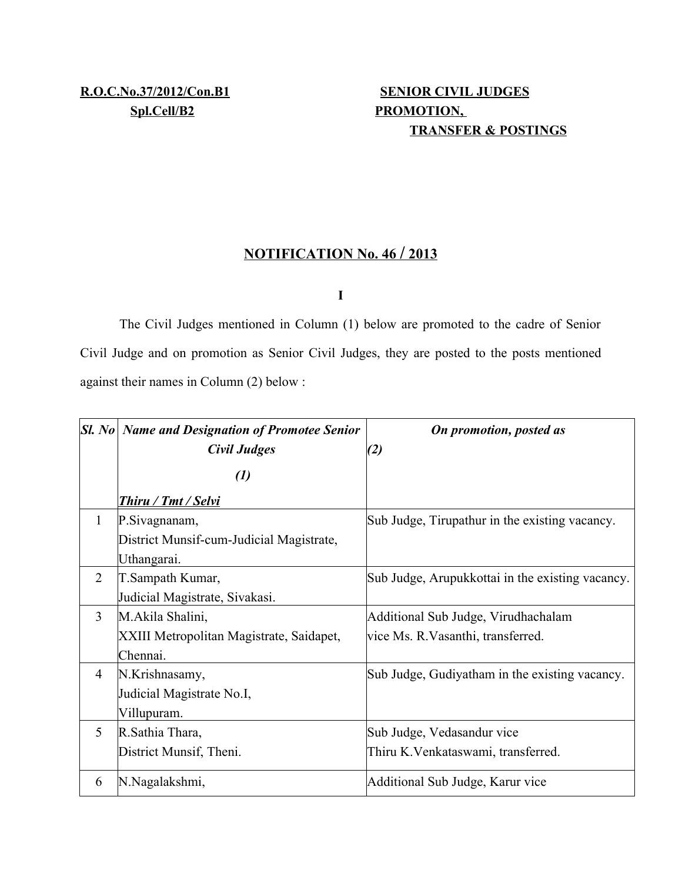# **TRANSFER & POSTINGS**

### **N OTIFICATION No. 46 / 2013**

**I**

The Civil Judges mentioned in Column (1) below are promoted to the cadre of Senior Civil Judge and on promotion as Senior Civil Judges, they are posted to the posts mentioned against their names in Column (2) below :

|                | $ SL $ No $ N$ ame and Designation of Promotee Senior<br>Civil Judges | On promotion, posted as<br>(2)                   |
|----------------|-----------------------------------------------------------------------|--------------------------------------------------|
|                | $\left( l\right)$                                                     |                                                  |
|                | <b>Thiru / Tmt / Selvi</b>                                            |                                                  |
| $\mathbf{1}$   | P.Sivagnanam,                                                         | Sub Judge, Tirupathur in the existing vacancy.   |
|                | District Munsif-cum-Judicial Magistrate,                              |                                                  |
|                | Uthangarai.                                                           |                                                  |
| $\overline{2}$ | T.Sampath Kumar,                                                      | Sub Judge, Arupukkottai in the existing vacancy. |
|                | Judicial Magistrate, Sivakasi.                                        |                                                  |
| $\overline{3}$ | M.Akila Shalini,                                                      | Additional Sub Judge, Virudhachalam              |
|                | XXIII Metropolitan Magistrate, Saidapet,                              | vice Ms. R. Vasanthi, transferred.               |
|                | Chennai.                                                              |                                                  |
| $\overline{4}$ | N.Krishnasamy,                                                        | Sub Judge, Gudiyatham in the existing vacancy.   |
|                | Judicial Magistrate No.I,                                             |                                                  |
|                | Villupuram.                                                           |                                                  |
| 5              | R. Sathia Thara,                                                      | Sub Judge, Vedasandur vice                       |
|                | District Munsif, Theni.                                               | Thiru K. Venkataswami, transferred.              |
| 6              | N.Nagalakshmi,                                                        | Additional Sub Judge, Karur vice                 |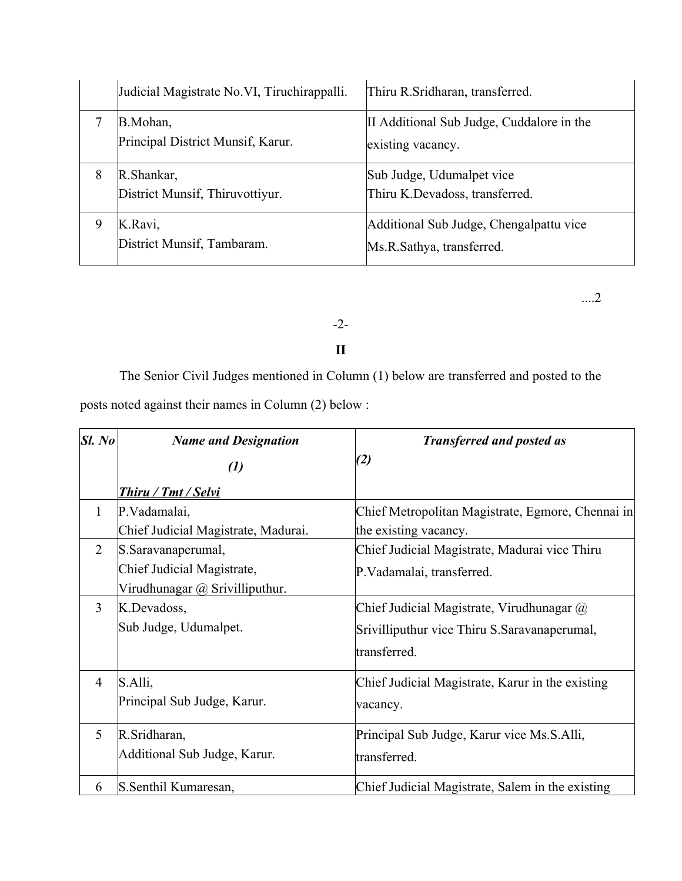|   | Judicial Magistrate No.VI, Tiruchirappalli.   | Thiru R. Sridharan, transferred.                                     |
|---|-----------------------------------------------|----------------------------------------------------------------------|
|   | B.Mohan,<br>Principal District Munsif, Karur. | II Additional Sub Judge, Cuddalore in the<br>existing vacancy.       |
| 8 | R.Shankar,<br>District Munsif, Thiruvottiyur. | Sub Judge, Udumalpet vice<br>Thiru K.Devadoss, transferred.          |
| 9 | K.Ravi,<br>District Munsif, Tambaram.         | Additional Sub Judge, Chengalpattu vice<br>Ms.R.Sathya, transferred. |

....2

#### -2-

#### **II**

The Senior Civil Judges mentioned in Column (1) below are transferred and posted to the posts noted against their names in Column (2) below :

| Sl. No         | <b>Name and Designation</b>         | <b>Transferred and posted as</b>                  |
|----------------|-------------------------------------|---------------------------------------------------|
|                | $\left( l\right)$                   | (2)                                               |
|                | <u>Thiru / Tmt / Selvi</u>          |                                                   |
| 1              | P.Vadamalai,                        | Chief Metropolitan Magistrate, Egmore, Chennai in |
|                | Chief Judicial Magistrate, Madurai. | the existing vacancy.                             |
| $\overline{2}$ | S.Saravanaperumal,                  | Chief Judicial Magistrate, Madurai vice Thiru     |
|                | Chief Judicial Magistrate,          | P. Vadamalai, transferred.                        |
|                | Virudhunagar @ Srivilliputhur.      |                                                   |
| 3              | K.Devadoss,                         | Chief Judicial Magistrate, Virudhunagar $\omega$  |
|                | Sub Judge, Udumalpet.               | Srivilliputhur vice Thiru S. Saravanaperumal,     |
|                |                                     | transferred.                                      |
| $\overline{4}$ | S.Alli,                             | Chief Judicial Magistrate, Karur in the existing  |
|                | Principal Sub Judge, Karur.         | vacancy.                                          |
| 5              | R.Sridharan,                        | Principal Sub Judge, Karur vice Ms.S.Alli,        |
|                | Additional Sub Judge, Karur.        | transferred.                                      |
| 6              | S. Senthil Kumaresan,               | Chief Judicial Magistrate, Salem in the existing  |